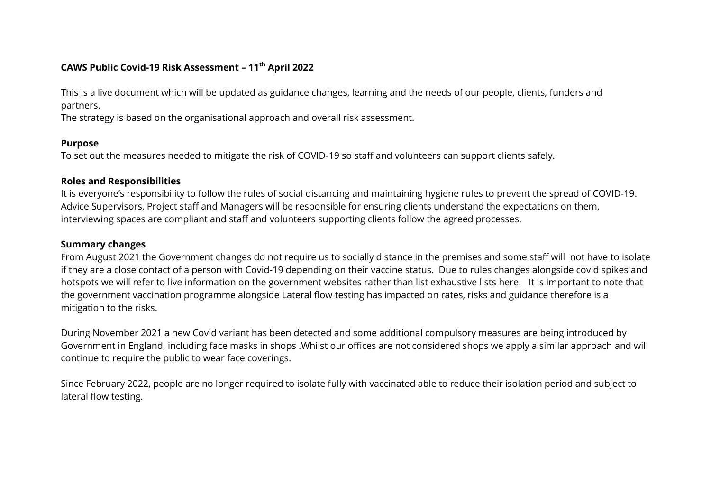# **CAWS Public Covid-19 Risk Assessment – 11th April 2022**

This is a live document which will be updated as guidance changes, learning and the needs of our people, clients, funders and partners.

The strategy is based on the organisational approach and overall risk assessment.

#### **Purpose**

To set out the measures needed to mitigate the risk of COVID-19 so staff and volunteers can support clients safely.

## **Roles and Responsibilities**

It is everyone's responsibility to follow the rules of social distancing and maintaining hygiene rules to prevent the spread of COVID-19. Advice Supervisors, Project staff and Managers will be responsible for ensuring clients understand the expectations on them, interviewing spaces are compliant and staff and volunteers supporting clients follow the agreed processes.

#### **Summary changes**

From August 2021 the Government changes do not require us to socially distance in the premises and some staff will not have to isolate if they are a close contact of a person with Covid-19 depending on their vaccine status. Due to rules changes alongside covid spikes and hotspots we will refer to live information on the government websites rather than list exhaustive lists here. It is important to note that the government vaccination programme alongside Lateral flow testing has impacted on rates, risks and guidance therefore is a mitigation to the risks.

During November 2021 a new Covid variant has been detected and some additional compulsory measures are being introduced by Government in England, including face masks in shops .Whilst our offices are not considered shops we apply a similar approach and will continue to require the public to wear face coverings.

Since February 2022, people are no longer required to isolate fully with vaccinated able to reduce their isolation period and subject to lateral flow testing.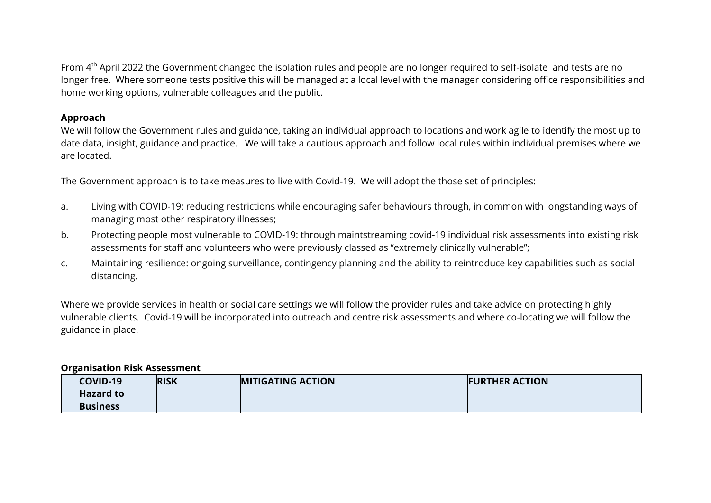From 4<sup>th</sup> April 2022 the Government changed the isolation rules and people are no longer required to self-isolate and tests are no longer free. Where someone tests positive this will be managed at a local level with the manager considering office responsibilities and home working options, vulnerable colleagues and the public.

## **Approach**

We will follow the Government rules and guidance, taking an individual approach to locations and work agile to identify the most up to date data, insight, guidance and practice. We will take a cautious approach and follow local rules within individual premises where we are located.

The Government approach is to take measures to live with Covid-19. We will adopt the those set of principles:

- a. Living with COVID-19: reducing restrictions while encouraging safer behaviours through, in common with longstanding ways of managing most other respiratory illnesses;
- b. Protecting people most vulnerable to COVID-19: through maintstreaming covid-19 individual risk assessments into existing risk assessments for staff and volunteers who were previously classed as "extremely clinically vulnerable";
- c. Maintaining resilience: ongoing surveillance, contingency planning and the ability to reintroduce key capabilities such as social distancing.

Where we provide services in health or social care settings we will follow the provider rules and take advice on protecting highly vulnerable clients. Covid-19 will be incorporated into outreach and centre risk assessments and where co-locating we will follow the guidance in place.

## **Organisation Risk Assessment**

| COVID-19         | <b>RISK</b> | <b>MITIGATING ACTION</b> | <b>FURTHER ACTION</b> |
|------------------|-------------|--------------------------|-----------------------|
| <b>Hazard to</b> |             |                          |                       |
| <b>Business</b>  |             |                          |                       |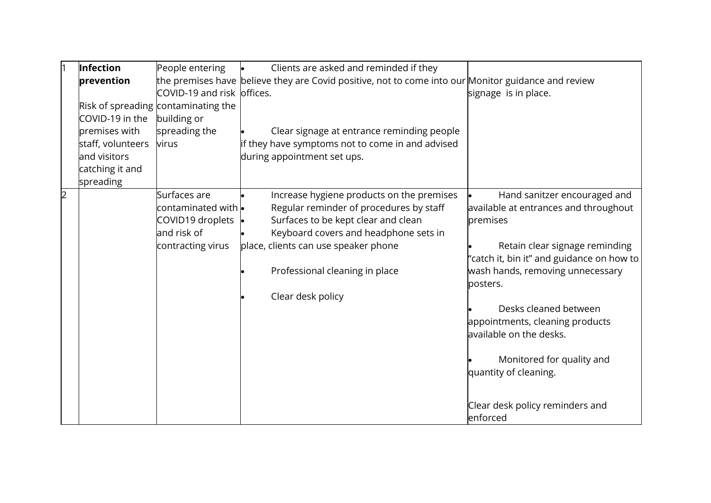|                | Infection         | People entering                     | Clients are asked and reminded if they                                                              |                                           |
|----------------|-------------------|-------------------------------------|-----------------------------------------------------------------------------------------------------|-------------------------------------------|
|                | prevention        |                                     | the premises have believe they are Covid positive, not to come into our Monitor guidance and review |                                           |
|                |                   | COVID-19 and risk offices.          |                                                                                                     | signage is in place.                      |
|                |                   | Risk of spreading contaminating the |                                                                                                     |                                           |
|                | COVID-19 in the   | building or                         |                                                                                                     |                                           |
|                | premises with     | spreading the                       | Clear signage at entrance reminding people                                                          |                                           |
|                | staff, volunteers | virus                               | if they have symptoms not to come in and advised                                                    |                                           |
|                | and visitors      |                                     | during appointment set ups.                                                                         |                                           |
|                | catching it and   |                                     |                                                                                                     |                                           |
|                | spreading         |                                     |                                                                                                     |                                           |
| $\overline{2}$ |                   | Surfaces are                        | Increase hygiene products on the premises                                                           | Hand sanitzer encouraged and              |
|                |                   | contaminated with $\bullet$         | Regular reminder of procedures by staff                                                             | available at entrances and throughout     |
|                |                   | COVID19 droplets  •                 | Surfaces to be kept clear and clean                                                                 | premises                                  |
|                |                   | and risk of                         | Keyboard covers and headphone sets in                                                               |                                           |
|                |                   | contracting virus                   | place, clients can use speaker phone                                                                | Retain clear signage reminding            |
|                |                   |                                     |                                                                                                     | "catch it, bin it" and guidance on how to |
|                |                   |                                     | Professional cleaning in place                                                                      | wash hands, removing unnecessary          |
|                |                   |                                     | Clear desk policy                                                                                   | posters.                                  |
|                |                   |                                     |                                                                                                     | Desks cleaned between                     |
|                |                   |                                     |                                                                                                     | appointments, cleaning products           |
|                |                   |                                     |                                                                                                     | available on the desks.                   |
|                |                   |                                     |                                                                                                     |                                           |
|                |                   |                                     |                                                                                                     | Monitored for quality and                 |
|                |                   |                                     |                                                                                                     | quantity of cleaning.                     |
|                |                   |                                     |                                                                                                     |                                           |
|                |                   |                                     |                                                                                                     |                                           |
|                |                   |                                     |                                                                                                     | Clear desk policy reminders and           |
|                |                   |                                     |                                                                                                     | enforced                                  |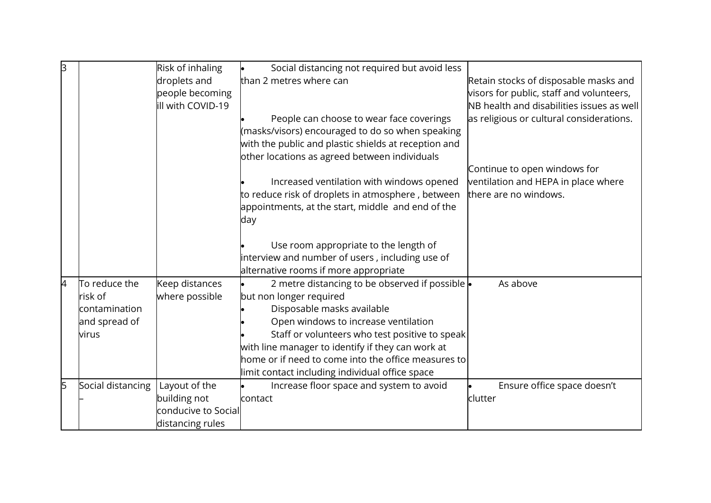| lЗ |                   | Risk of inhaling    | Social distancing not required but avoid less        |                                           |
|----|-------------------|---------------------|------------------------------------------------------|-------------------------------------------|
|    |                   | droplets and        | than 2 metres where can                              | Retain stocks of disposable masks and     |
|    |                   | people becoming     |                                                      | visors for public, staff and volunteers,  |
|    |                   | ill with COVID-19   |                                                      | NB health and disabilities issues as well |
|    |                   |                     | People can choose to wear face coverings             | as religious or cultural considerations.  |
|    |                   |                     | (masks/visors) encouraged to do so when speaking     |                                           |
|    |                   |                     | with the public and plastic shields at reception and |                                           |
|    |                   |                     | other locations as agreed between individuals        |                                           |
|    |                   |                     |                                                      | Continue to open windows for              |
|    |                   |                     | Increased ventilation with windows opened            | ventilation and HEPA in place where       |
|    |                   |                     | to reduce risk of droplets in atmosphere, between    | there are no windows.                     |
|    |                   |                     | appointments, at the start, middle and end of the    |                                           |
|    |                   |                     | day                                                  |                                           |
|    |                   |                     |                                                      |                                           |
|    |                   |                     | Use room appropriate to the length of                |                                           |
|    |                   |                     | interview and number of users, including use of      |                                           |
|    |                   |                     | alternative rooms if more appropriate                |                                           |
| 4  | To reduce the     | Keep distances      | 2 metre distancing to be observed if possible .      | As above                                  |
|    | risk of           | where possible      | but non longer required                              |                                           |
|    | contamination     |                     | Disposable masks available                           |                                           |
|    | and spread of     |                     | Open windows to increase ventilation                 |                                           |
|    | virus             |                     | Staff or volunteers who test positive to speak       |                                           |
|    |                   |                     | with line manager to identify if they can work at    |                                           |
|    |                   |                     | home or if need to come into the office measures to  |                                           |
|    |                   |                     | limit contact including individual office space      |                                           |
| 5  | Social distancing | Layout of the       | Increase floor space and system to avoid             | Ensure office space doesn't               |
|    |                   | building not        | contact                                              | clutter                                   |
|    |                   | conducive to Social |                                                      |                                           |
|    |                   | distancing rules    |                                                      |                                           |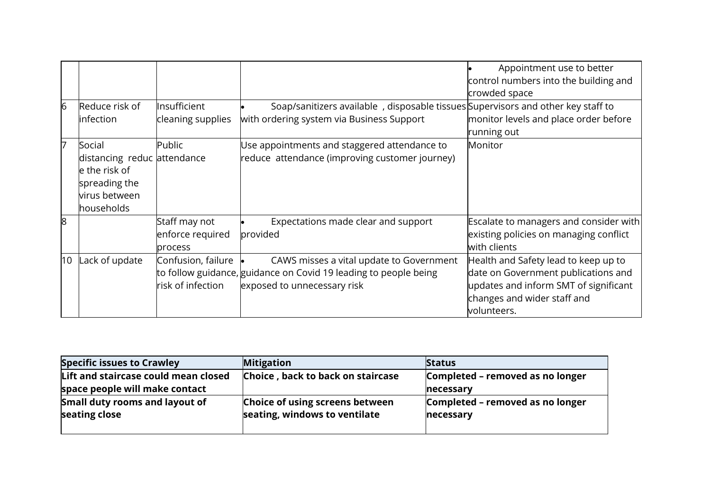|                 |                                                                                                        |                                                     |                                                                                                                                             | Appointment use to better<br>control numbers into the building and<br>crowded space                                                                                |
|-----------------|--------------------------------------------------------------------------------------------------------|-----------------------------------------------------|---------------------------------------------------------------------------------------------------------------------------------------------|--------------------------------------------------------------------------------------------------------------------------------------------------------------------|
| $6\overline{6}$ | Reduce risk of<br>infection                                                                            | Insufficient<br>cleaning supplies                   | Soap/sanitizers available, disposable tissues Supervisors and other key staff to<br>with ordering system via Business Support               | monitor levels and place order before                                                                                                                              |
|                 |                                                                                                        |                                                     |                                                                                                                                             | running out                                                                                                                                                        |
| 17              | Social<br>distancing reduc attendance<br>e the risk of<br>spreading the<br>virus between<br>households | Public                                              | Use appointments and staggered attendance to<br>reduce attendance (improving customer journey)                                              | Monitor                                                                                                                                                            |
| $\overline{8}$  |                                                                                                        | Staff may not<br>enforce required<br><b>process</b> | Expectations made clear and support<br>provided                                                                                             | <b>Escalate to managers and consider with</b><br>existing policies on managing conflict<br>with clients                                                            |
| 10              | Lack of update                                                                                         | Confusion, failure<br>risk of infection             | CAWS misses a vital update to Government<br>to follow guidance, guidance on Covid 19 leading to people being<br>exposed to unnecessary risk | Health and Safety lead to keep up to<br>date on Government publications and<br>updates and inform SMT of significant<br>changes and wider staff and<br>volunteers. |

| <b>Specific issues to Crawley</b>                                      | <b>Mitigation</b>                                                | <b>Status</b>                                 |
|------------------------------------------------------------------------|------------------------------------------------------------------|-----------------------------------------------|
| Lift and staircase could mean closed<br>space people will make contact | Choice, back to back on staircase                                | Completed - removed as no longer<br>necessary |
| Small duty rooms and layout of<br>seating close                        | Choice of using screens between<br>seating, windows to ventilate | Completed - removed as no longer<br>necessary |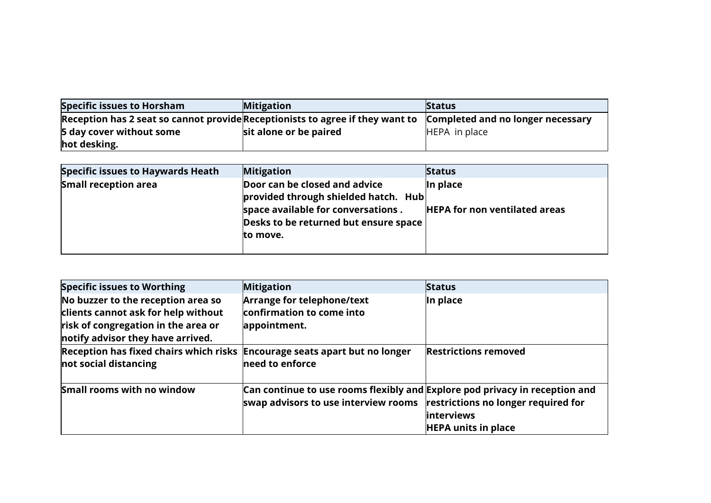| Specific issues to Horsham                                                    | <b>Mitigation</b>      | <b>Status</b>                     |
|-------------------------------------------------------------------------------|------------------------|-----------------------------------|
| Reception has 2 seat so cannot provide Receptionists to agree if they want to |                        | Completed and no longer necessary |
| 5 day cover without some                                                      | sit alone or be paired | HEPA in place                     |
| hot desking.                                                                  |                        |                                   |

| Specific issues to Haywards Heath | <b>Mitigation</b>                                                                                                                                                | <b>Status</b>                                       |
|-----------------------------------|------------------------------------------------------------------------------------------------------------------------------------------------------------------|-----------------------------------------------------|
| <b>Small reception area</b>       | Door can be closed and advice<br>provided through shielded hatch. Hub<br>space available for conversations.<br>Desks to be returned but ensure space<br>to move. | $\ln$ place<br><b>HEPA for non ventilated areas</b> |

| <b>Specific issues to Worthing</b>                                                                                                                    | <b>Mitigation</b>                                                                                                                                            | <b>Status</b>                                    |
|-------------------------------------------------------------------------------------------------------------------------------------------------------|--------------------------------------------------------------------------------------------------------------------------------------------------------------|--------------------------------------------------|
| No buzzer to the reception area so<br>clients cannot ask for help without<br>risk of congregation in the area or<br>notify advisor they have arrived. | Arrange for telephone/text<br>confirmation to come into<br>appointment.                                                                                      | In place                                         |
| Reception has fixed chairs which risks Encourage seats apart but no longer<br>not social distancing                                                   | need to enforce                                                                                                                                              | <b>Restrictions removed</b>                      |
| Small rooms with no window                                                                                                                            | Can continue to use rooms flexibly and Explore pod privacy in reception and<br>swap advisors to use interview rooms $\ $ restrictions no longer required for | <b>linterviews</b><br><b>HEPA units in place</b> |